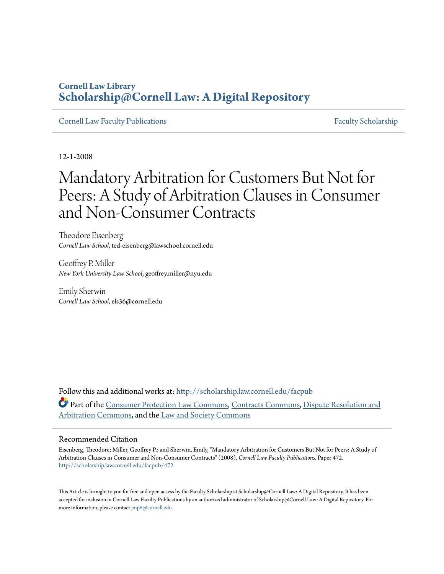# **Cornell Law Library [Scholarship@Cornell Law: A Digital Repository](http://scholarship.law.cornell.edu?utm_source=scholarship.law.cornell.edu%2Ffacpub%2F472&utm_medium=PDF&utm_campaign=PDFCoverPages)**

[Cornell Law Faculty Publications](http://scholarship.law.cornell.edu/facpub?utm_source=scholarship.law.cornell.edu%2Ffacpub%2F472&utm_medium=PDF&utm_campaign=PDFCoverPages) [Faculty Scholarship](http://scholarship.law.cornell.edu/facsch?utm_source=scholarship.law.cornell.edu%2Ffacpub%2F472&utm_medium=PDF&utm_campaign=PDFCoverPages)

12-1-2008

# Mandatory Arbitration for Customers But Not for Peers: A Study of Arbitration Clauses in Consumer and Non-Consumer Contracts

Theodore Eisenberg *Cornell Law School*, ted-eisenberg@lawschool.cornell.edu

Geoffrey P. Miller *New York University Law School*, geoffrey.miller@nyu.edu

Emily Sherwin *Cornell Law School*, els36@cornell.edu

Follow this and additional works at: [http://scholarship.law.cornell.edu/facpub](http://scholarship.law.cornell.edu/facpub?utm_source=scholarship.law.cornell.edu%2Ffacpub%2F472&utm_medium=PDF&utm_campaign=PDFCoverPages) Part of the [Consumer Protection Law Commons](http://network.bepress.com/hgg/discipline/838?utm_source=scholarship.law.cornell.edu%2Ffacpub%2F472&utm_medium=PDF&utm_campaign=PDFCoverPages), [Contracts Commons,](http://network.bepress.com/hgg/discipline/591?utm_source=scholarship.law.cornell.edu%2Ffacpub%2F472&utm_medium=PDF&utm_campaign=PDFCoverPages) [Dispute Resolution and](http://network.bepress.com/hgg/discipline/890?utm_source=scholarship.law.cornell.edu%2Ffacpub%2F472&utm_medium=PDF&utm_campaign=PDFCoverPages) [Arbitration Commons,](http://network.bepress.com/hgg/discipline/890?utm_source=scholarship.law.cornell.edu%2Ffacpub%2F472&utm_medium=PDF&utm_campaign=PDFCoverPages) and the [Law and Society Commons](http://network.bepress.com/hgg/discipline/853?utm_source=scholarship.law.cornell.edu%2Ffacpub%2F472&utm_medium=PDF&utm_campaign=PDFCoverPages)

# Recommended Citation

Eisenberg, Theodore; Miller, Geoffrey P.; and Sherwin, Emily, "Mandatory Arbitration for Customers But Not for Peers: A Study of Arbitration Clauses in Consumer and Non-Consumer Contracts" (2008). *Cornell Law Faculty Publications.* Paper 472. [http://scholarship.law.cornell.edu/facpub/472](http://scholarship.law.cornell.edu/facpub/472?utm_source=scholarship.law.cornell.edu%2Ffacpub%2F472&utm_medium=PDF&utm_campaign=PDFCoverPages)

This Article is brought to you for free and open access by the Faculty Scholarship at Scholarship@Cornell Law: A Digital Repository. It has been accepted for inclusion in Cornell Law Faculty Publications by an authorized administrator of Scholarship@Cornell Law: A Digital Repository. For more information, please contact [jmp8@cornell.edu.](mailto:jmp8@cornell.edu)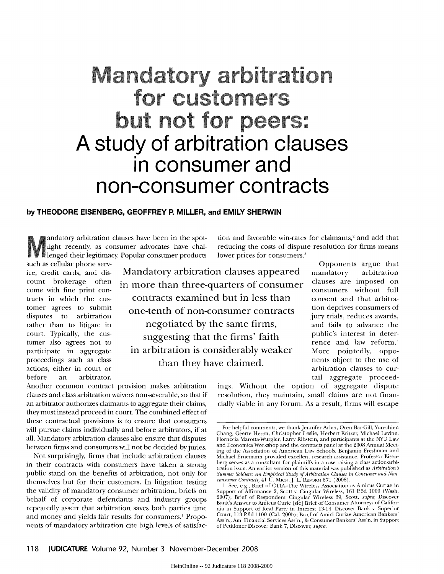# Mandatory arbitration for customers but not for peers: **A study of arbitration clauses in consumer and non-consumer contracts**

#### **by THEODORE EISENBERG, GEOFFREY P. MILLER, and EMILY SHERWIN**

andatory arbitration clauses have been in the spotlight recently, as consumer advocates have chal**l** lenged their legitimacy. Popular consumer products

such as cellular phone servcome with fine print contracts in which the customer agrees to submit disputes to arbitration rather than to litigate in court. Typically, the customer also agrees not to participate in aggregate<br>proceedings such as class actions, either in court or before an arbitrator.

ice, credit cards, and dis- Mandatory arbitration clauses appeared count brokerage often in more than three-quarters of consumer participate in aggregate in arbitration is considerably weaker contracts examined but in less than one-tenth of non-consumer contracts negotiated by the same firms, suggesting that the firms' faith than they have claimed.

Opponents argue that mandatory arbitration clauses are imposed on consumers without full consent and that arbitration deprives consumers of jury trials, reduces awards, and fails to advance the public's interest in deterrence and law reform. More pointedly, opponents object to the use of arbitration clauses to curtail aggregate proceed-

ings. Without the option of aggregate dispute resolution, they maintain, small claims are not financially viable in any forum. As a result, firms will escape

tion and favorable win-rates for claimants,<sup>2</sup> and add that reducing the costs of dispute resolution for firms means

lower prices for consumers.<sup>3</sup>

Another common contract provision makes arbitration clauses and class arbitration waivers non-severable, so that if an arbitrator authorizes claimants to aggregate their claims, they must instead proceed in court. The combined effect of these contractual provisions is to ensure that consumers will pursue claims individually and before arbitrators, if at all. Mandatory arbitration clauses also ensure that disputes between firms and consumers will not be decided byjuries.

Not surprisingly, firms that include arbitration clauses in their contracts with consumers have taken a strong public stand on the benefits of arbitration, not only for themselves but for their customers. In litigation testing the validity of mandatory consumer arbitration, briefs on behalf of corporate defendants and industry groups repeatedly assert that arbitration saves both parties time and money and yields fair results for consumers.' Proponents of mandatory arbitration cite high levels of satisfac-

For helpful comments, we thank Jennifer Arlen, Oren Bar-Gill, Yun-chien Chang, Geerte Hesen, Christopher Leslie, Herbert Kritzer, Michael Levine, Flornecia Marotta-Wurgler, Larry Ribstein, and participants at the NYU Law and Economics Workshop and the contracts panel at the 2008 Annual Meeting of the Association of American Law Schools. Benjamin Freshman and Michael Ernemann provided excellent research assistance. Professor Eisenberg serves as a consultant for plaintiffs in a case raising a class action-arbitration issue. An earlier version of this material was published as *Arbitration's Summer Soldiers: An Fmpirical Study of Arbitration Clauses in Consumer and Non-*

*consumer Contracts,* 41 U. MICH.J. L. **REFORM** 871 (2008). 1. See, e.g., Brief of CTIA-The Wireless Association as Amicus Curiae in Support of Affirmance 2, Scott v. Cingular Wireless, **161 P.3d** 1000 (Wash. 2007); Brief of Respondent Cingular Wireless 39, Scott, *supra;* Discover Bank's Answer to Anicus Curie [sic] Brief of Consumer Attorneys of California in Support of Real Party in Interest 13-14, Discover Bank v. Superior Court, 113 **P.3d** 1100 (Cal. 2005); Brief of Amici Curiae American Bankers' Ass'n., Am. Financial Services Ass'n., & Consumer Bankers' Ass'n. in Support of Petitioner Discover Bank 7, Discover, *supra.*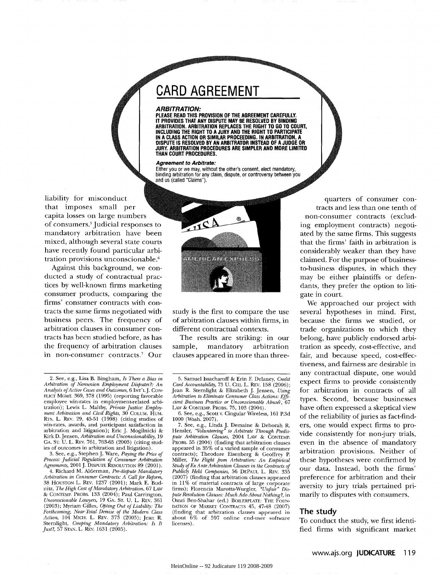# **CARD AGREEMENT**

#### *ARBITRATION:*

**PLEASE READ THIS PROVISION OF THE AGREEMENT CAREFULLY. IT PROVIDES THAT ANY DISPUTE MAY BE RESOLVED BY BINDING ARBITRATION. ARBITRATION REPLACES THE RIGHT TO GO TO COURT, INCLUDING THE RIGHT TO A JURY AND THE RIGHT TO PARTICIPATE IN A CLASS ACTION OR SIMILAR PROCEEDING. IN ARBITRATION, A DISPUTE IS RESOLVED BY AN ARBITRATOR INSTEAD OF A JUDGE OR JURY. ARBITRATION PROCEDURES ARE SIMPLER AND MORE LIMITED THAN COURT PROCEDURES.**

#### **Agreement to Arbitrate:**

Either you or we may, without the other's consent, elect mandatory,<br>binding arbitration for any claim, dispute, or controversy between you and us (called "Claims").

liability for misconduct that imposes small per capita losses on large numbers **'I** of consumers? Judicial responses to mandatory arbitration have been mixed, although several state courts have recently found particular arbitration provisions unconscionable.'

Against this background, **we con**ducted a study of contractual practices **by** well-known firms marketing consumer products, comparing the firms' consumer contracts with contracts the same firms negotiated with business peers. The frequency of arbitration clauses in consumer contracts has been studied before, as has the frequency of arbitration clauses in non-consumer contracts.7 Our

3. See, e.g., Stephen **J.** Ware, *Paying the Price of Process: Judicial Regulation of Consumer Arbitration Agreements,* 2001 J. DISPUTE RESOLUTION 89 (2001).

4. Richard M. Alderman, *Pre-dispute Mandatory Arbitration in Consumer Contracts: A Call for Reform,* 38 HOUSTON L. REv. 1237 (2001); Mark E. Budnitz, *The High Cost of Mandatory Arbitration,* 67 LAw & CONTEMP. PROBS. 133 (2004); Paul Carrington, *Unconscionable Lawyers,* 19 GA. ST. U. L. REv. 361 (2003); Myriam Gilles, *Opting Out of Liability: The Forthcoming, Near-Total Demise of the Modern Class Action*, 104 MicH. L. Rev. 373 (2005); Jean R. Sternlight, *Creeping Mandatory Arbitration: Is It Just?*, 57 STAN. L.



study is the first to compare the use of arbitration clauses within firms, in different contractual contexts.

The results are striking: in our sample, mandatory arbitration clauses appeared in more than three-

6. See, e.g., Scott v. Cingular Wireless, 161 **P.3d** 1000 (Wash. 2007).

7. See, e.g., Linda J. Demaine & Deborah R. Hensler, *"Volunteering" to Arbitrate Through Predispute Arbitration Clauses,* 2004 LAw & CONTEMP. PROBS. 55 (2004) (finding that arbitration clauses appeared in 35% of a varied sample of consumer contracts); Theodore Eisenberg **&** Geoffrey P. Miller, *The Flight* **from** *Arbitration: An Empirical Study ofEx Ante Arbitration Clauses in the Contracts of Publicly Held Companies,* 56 DEPAUL L. REv. 335 (2007) (finding that arbitration clauses appeared in 11% of material contracts of large corporate firms); Florencia Marotta-Wurgler, *"Unfair" Dis*pute *Resolution Clauses: Much Ado About Nothing?,* in Omri Ben-Shahar (ed.) BOILERPLATE: THE FOUNnATION OF MARKET CONTRACTS 45, 47-48 (2007) (finding that arbitration clauses appeared in about **6%** of **597** online end-user software licenses).

quarters of consumer contracts and less than one tenth of non-consumer contracts (excluding employment contracts) negotiated **by** the same firms. This suggests that the firms' faith in arbitration is considerably weaker than they have claimed. For the purpose of businessto-business disputes, in which they may be either plaintiffs or defendants, they prefer the option to litigate in court.

We approached our project with several hypotheses in mind. First, because the firms we studied, or trade organizations to which they belong, have publicly endorsed arbitration as speedy, cost-effective, and fair, and because speed, cost-effectiveness, and fairness are desirable in any contractual dispute, one would expect firms to provide consistently for arbitration in contracts of all types. Second, because businesses have often expressed a skeptical view of the reliability of juries as fact-finders, one would expect firms to provide consistently for non-jury trials, even in the absence of mandatory arbitration provisions. Neither of these hypotheses were confirmed **by** our data. Instead, both the firms' preference for arbitration and their aversity to jury trials pertained primarily to disputes with consumers.

# **The study**

To conduct the study, we first identified firms with significant market

<sup>2.</sup> See, e.g., Lisa B. Bingham, *Is There a Bias in Arbitration of Nonunion Employment Disputes?: An Analysis of Active Cases and Outcomes,* 6 INT'LJ. CON-FLICT MGMT. 369, 378 (1995) (reporting favorable employee win-rates in employment-related arbitration); Lewis L. Maltby, *Private Justice: Employ-ment Arbitration and Civil Rights,* 30 COLUM. HUM. RTs. L. Rcv. 29, 45-51 (1998) (citing studies of win-rates, awards, and participant satisfaction in arbitration **and** litigation); Eric J. Mogilnicki & Kirk *D.* Jensen, *Arbitration and Unconscionability,* 19 **GA.** ST. U. L. REV. 761, 763-65 (2003) (citing studies of outcomes in arbitration and litigation).

**<sup>5.</sup>** Samuel Issacharoff & Erin **E** Delaney, *Credit Card Accountability,* 73 U. CHI. L. REv. 158 (2006); Jean R. Sternlight & Elizabeth J. Jensen, *Using Arbitration to Eliminate Consumer Class Actions: Efficient Business Practice or Unconscionable Abuse?,* 67 LAw & CONTEMP. PROBS. 75, 103 (2004).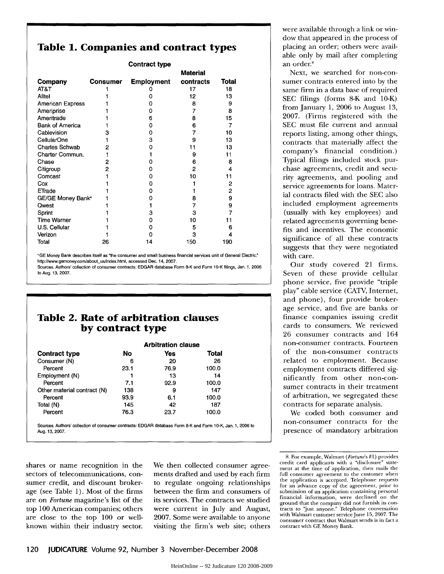# **Table 1. Companies and contract types**

| <b>Contract type</b>          |                 |                   |           |       |  |  |
|-------------------------------|-----------------|-------------------|-----------|-------|--|--|
|                               |                 | <b>Material</b>   |           |       |  |  |
| Company                       | <b>Consumer</b> | <b>Employment</b> | contracts | Total |  |  |
| AT&T                          |                 |                   | 17        | 18    |  |  |
| Alltel                        |                 | o                 | 12        | 13    |  |  |
| American Express              |                 |                   | 8         | 9     |  |  |
| Ameriprise                    |                 | Ω                 | 7         | 8     |  |  |
| Ameritrade                    |                 | 6                 | 8         | 15    |  |  |
| <b>Bank of America</b>        |                 | Ω                 | 6         | 7     |  |  |
| Cablevision                   | 3               | ი                 |           | 10    |  |  |
| CellularOne                   |                 | 3                 | 9         | 13    |  |  |
| <b>Charles Schwab</b>         | 2               | n                 | 11        | 13    |  |  |
| Charter Commun.               |                 |                   | 9         | 11    |  |  |
| Chase                         | 2               |                   | 6         | 8     |  |  |
| Citigroup                     | 2               |                   | 2         | 4     |  |  |
| Comcast                       |                 | 0                 | 10        | 11    |  |  |
| Cox                           |                 |                   |           | 2     |  |  |
| ETrade                        |                 |                   |           | 2     |  |  |
| GE/GE Money Bank <sup>a</sup> |                 |                   | 8         | 9     |  |  |
| <b>Owest</b>                  |                 |                   | 7         | 9     |  |  |
| Sprint                        |                 | 3                 | 3         |       |  |  |
| <b>Time Warner</b>            |                 | Ω                 | 10        | 11    |  |  |
| U.S. Cellular                 |                 | Ω                 | 5         | 6     |  |  |
| Verizon                       |                 |                   | 3         | 4     |  |  |
| Total                         | 26              | 14                | 150       | 190   |  |  |

**'GE** Money Bank describes itself as "the consumer and small business financial services unit of General Electric." http://www.gemoney.com/about us/index.htmi, accessed Dec. 14, **2007.**

Sources. Authors' collection of consumer contracts: EDGAR database Form 8-K and Form **10 -K** filings, Jan. **1, 2006** to Aug. **13, 2007.**

# **Table 2. Rate of arbitration clauses by contract type**

|                             | <b>Arbitration clause</b> |      |       |  |
|-----------------------------|---------------------------|------|-------|--|
| <b>Contract type</b>        | No                        | Yes  | Total |  |
| Consumer (N)                | 6                         | 20   | 26    |  |
| Percent                     | 23.1                      | 76.9 | 100.0 |  |
| Employment (N)              |                           | 13   | 14    |  |
| Percent                     | 7.1                       | 92.9 | 100.0 |  |
| Other material contract (N) | 138                       | 9    | 147   |  |
| Percent                     | 93.9                      | 6.1  | 100.0 |  |
| Total (N)                   | 145                       | 42   | 187   |  |
| Percent                     | 76.3                      | 23.7 | 100.0 |  |

shares or name recognition in the sectors of telecommunications, consumer credit, and discount brokerage (see Table 1). Most of the firms are on *Fortune* magazine's list of the top 100 American companies; others are close to the top 100 or wellknown within their industry sector. We then collected consumer agreements drafted and used by each firm to regulate ongoing relationships between the firm and consumers of its services. The contracts we studied were current in July and August, 2007. Some were available to anyone visiting the firm's web site; others

were available through a link or window that appeared in the process of placing an order; others were available only by mail after completing an order.8

Next, we searched for non-consumer contracts entered into by the same firm in a data base of required SEC filings (forms 8-K and 10-K) from January 1, 2006 to August 13, 2007. (Firms registered with the SEC must file current and annual reports listing, among other things, contracts that materially affect the company's financial condition.) Typical filings included stock purchase agreements, credit and security agreements, and pooling and service agreements for loans. Material contracts filed with the SEC also included employment agreements (usually with key employees) and related agreements governing benefits and incentives. The economic significance of all these contracts suggests that they were negotiated with care.

Our study covered 21 firms. Seven of these provide cellular phone service, five provide "triple play" cable service (CATV, Internet, and phone), four provide brokerage service, and five are banks or finance companies issuing credit cards to consumers. We reviewed 26 consumer contracts and 164 non-consumer contracts. Fourteen of the non-consumer contracts related to employment. Because employment contracts differed significantly from other non-consumer contracts in their treatment of arbitration, we segregated these contracts for separate analysis.

We coded both consumer and non-consumer contracts for the presence of mandatory arbitration

<sup>8.</sup> For example, Walmart *(Fortune's* #1) provides credit card applicants with a "disclosure" statement at the time of application, then mails the full consumer agreement to the customer when the application is accepted. Telephone requests for an advance copy of the agreement, prior to submission of an application containing personal financial information, were declined on the ground that the company did not furnish its con-tracts to 'just anyone." Telephone conversation with Walmart customer serviceJune 15, 2007. The consumer contract that Walmart sends is in fact a contract with GE Money Bank.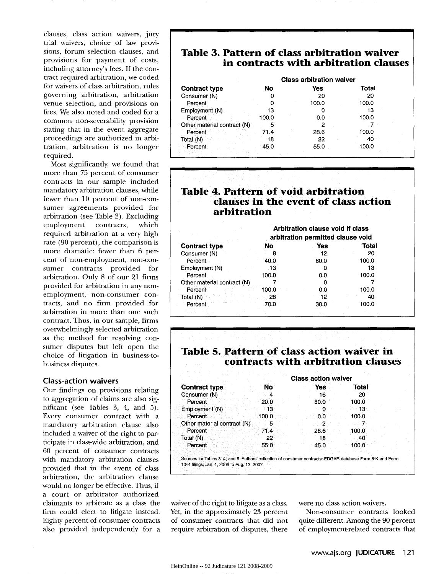clauses, class action waivers, jury trial waivers, choice of law provisions, forum selection clauses, and provisions for payment of costs, including attorney's fees. If the contract required arbitration, we coded for waivers of class arbitration, rules governing arbitration, arbitration venue selection, and provisions on fees. We also noted and coded for a common non-severability provision stating that in the event aggregate proceedings are authorized in arbitration, arbitration is no longer required.

Most significantly, we found that more than 75 percent of consumer contracts in our sample included mandatory arbitration clauses, while fewer than 10 percent of non-consumer agreements provided for arbitration (see Table 2). Excluding employment contracts, which required arbitration at a very high rate (90 percent), the comparison is more dramatic: fewer than 6 percent of non-employment, non-consumer contracts provided for arbitration. Only 8 of our 21 firms provided for arbitration in any nonemployment, non-consumer contracts, and no firm provided for arbitration in more than one such contract. Thus, in our sample, firms overwhelmingly selected arbitration as the method for resolving consumer disputes but left open the choice of litigation in business-tobusiness disputes.

#### **Class-action waivers**

Our findings on provisions relating to aggregation of claims are also significant (see Tables 3, 4, and 5). Every consumer contract with a mandatory arbitration clause also included a waiver of the right to participate in class-wide arbitration, and 60 percent of consumer contracts with mandatory arbitration clauses provided that in the event of class arbitration, the arbitration clause would no longer be effective. Thus, if a court or arbitrator authorized claimants to arbitrate as a class the firm could elect to litigate instead. Eighty percent of consumer contracts also provided independently for a

# **Table 3. Pattern of class arbitration waiver in contracts with arbitration clauses**

|                             | <b>Class arbitration waiver</b> |       |       |
|-----------------------------|---------------------------------|-------|-------|
| <b>Contract type</b>        | No                              | Yes   | Total |
| Consumer (N)                | 0                               | 20    | 20    |
| Percent                     | 0                               | 100.0 | 100.0 |
| Employment (N)              | 13                              |       | 13    |
| Percent                     | 100.0                           | 0.0   | 100.0 |
| Other material contract (N) | 5                               | 2     |       |
| Percent                     | 71.4                            | 28.6  | 100.0 |
| Total (N)                   | 18                              | 22    | 40    |
| Percent                     | 45.0                            | 55.0  | 100.0 |
|                             |                                 |       |       |

# **Table 4. Pattern of void arbitration clauses in the event of class action arbitration**

|                             |       | Arbitration clause void if class<br>arbitration permitted clause void |       |
|-----------------------------|-------|-----------------------------------------------------------------------|-------|
| <b>Contract type</b>        | No    | Yes                                                                   | Total |
| Consumer (N)                | 8     | 12                                                                    | 20    |
| Percent                     | 40.0  | 60.0                                                                  | 100.0 |
| Employment (N)              | 13    | 0                                                                     | 13    |
| Percent                     | 100.0 | 0.0                                                                   | 100.0 |
| Other material contract (N) |       |                                                                       |       |
| Percent                     | 100.0 | 0.0                                                                   | 100.0 |
| Total (N)                   | 28    | 12                                                                    | 40    |
| Percent                     | 70.0  | 30.0                                                                  | 100.0 |
|                             |       |                                                                       |       |

# **Table 5. Pattern of class action waiver in contracts with arbitration clauses**

|                             |       | <b>Class action waiver</b> |       |  |
|-----------------------------|-------|----------------------------|-------|--|
| <b>Contract type</b>        | No.   | <b>Yes</b>                 | Total |  |
| Consumer (N)                |       | 16                         | 20    |  |
| Percent                     | 20.0  | 80.0                       | 100.0 |  |
| Employment (N)              |       |                            | 13    |  |
| Percent                     | 100.0 | 0.0                        | 100.0 |  |
| Other material contract (N) |       | 2                          |       |  |
| Percent                     | 71.4  | 28.6                       | 100.0 |  |
| Total (N)                   | 22    | 18                         | 40    |  |
| Percent                     | 55.0  | 45.0                       | 100.0 |  |
|                             |       |                            |       |  |

Sources for Tables **3,** 4, and 5. Authors' collection of consumer contracts: EDGAR database Form 8-K and Form 10-K filings, Jan. 1,2006 to Aug. **13,** 2007.

waiver of the right to litigate as a class. Yet, in the approximately 23 percent of consumer contracts that did not require arbitration of disputes, there were no class action waivers.

Non-consumer contracts looked quite different. Among the 90 percent of employment-related contracts that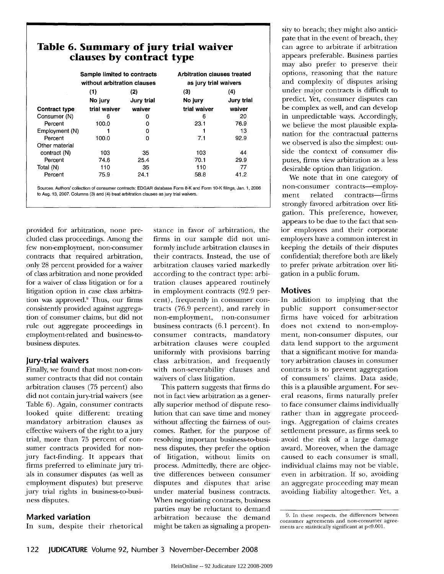| Table 6. Summary of jury trial waiver<br>clauses by contract type |                                                            |            |                                                             |            |  |
|-------------------------------------------------------------------|------------------------------------------------------------|------------|-------------------------------------------------------------|------------|--|
|                                                                   | Sample limited to contracts<br>without arbitration clauses |            | <b>Arbitration clauses treated</b><br>as jury trial waivers |            |  |
|                                                                   | (1)                                                        | (2)        | (3)                                                         | (4)        |  |
|                                                                   | No jury                                                    | Jury trial | No jury                                                     | Jury trial |  |
| <b>Contract type</b>                                              | trial waiver                                               | waiver     | trial waiver                                                | waiver     |  |
| Consumer (N)                                                      | 6                                                          | 0          | 6                                                           | 20         |  |
| Percent                                                           | 100.0                                                      | o          | 23.1                                                        | 76.9       |  |
| Employment (N)                                                    |                                                            | 0          |                                                             | 13.        |  |
| Percent                                                           | 100.0                                                      | O          | 7.1                                                         | 92.9       |  |
| Other material                                                    |                                                            |            |                                                             |            |  |
| contract (N)                                                      | 103                                                        | 35         | 103                                                         | 44         |  |
| Percent                                                           | 74.6                                                       | 25.4       | 70.1                                                        | 29.9       |  |
| Total (N)                                                         | 110                                                        | 35         | 110                                                         | 77         |  |
| Percent                                                           | 75.9                                                       | 24.1       | 58.8                                                        | 41.2       |  |

Sources. Authors' collection of consumer contracts: EDGAR **database** Form 8-K and Form 10-K filings, Jan. 1, 2006 to Aug. 13, 2007. Columns (3) and (4) **treat** arbitration **clauses as** jury **trial** waivers.

provided for arbitration, none precluded class proceedings. Among the few non-employment, non-consumer contracts that required arbitration, only 28 percent provided for a waiver of class arbitration and none provided for a waiver of class litigation or for a litigation option in case class arbitration was approved.9 Thus, our firms consistently provided against aggregation of consumer claims, but did not rule out aggregate proceedings in employment-related and business-tobusiness disputes.

# **Jury-trial waivers**

Finally, we found that most non-consumer contracts that did not contain arbitration clauses (75 percent) also did not contain jury-trial waivers (see Table 6). Again, consumer contracts looked quite different: treating mandatory arbitration clauses as effective waivers of the right to a jury trial, more than 75 percent of consumer contracts provided for nonjury fact-finding. It appears that firms preferred to eliminate jury trials in consumer disputes (as well as employment disputes) but preserve jury trial rights in business-to-business disputes.

# **Marked variation**

In sum, despite their rhetorical

stance in favor of arbitration, the firms in our sample did not uniformly include arbitration clauses in their contracts. Instead, the use of arbitration clauses varied markedly according to the contract type: arbitration clauses appeared routinely in employment contracts (92.9 percent), frequently in consumer contracts (76.9 percent), and rarely in non-employment, non-consumer business contracts (6.1 percent). In consumer contracts, mandatory arbitration clauses were coupled uniformly with provisions barring class arbitration, and frequently with non-severability clauses and waivers of class litigation.

This pattern suggests that firms do not in fact view arbitration as a generally superior method of dispute resolution that can save time and money without affecting the fairness of outcomes. Rather, for the purpose of resolving important business-to-business disputes, they prefer the option of litigation, without limits on process. Admittedly, there are objective differences between consumer disputes and disputes that arise under material business contracts. When negotiating contracts, business parties may be reluctant to demand arbitration because the demand might be taken as signaling a propensity to breach; they might also anticipate that in the event of breach, they can agree to arbitrate if arbitration appears preferable. Business parties may also prefer to preserve their options, reasoning that the nature and complexity of disputes arising under major contracts is difficult to predict. Yet, consumer disputes can be complex as well, and can develop in unpredictable ways. Accordingly, we believe the most plausible explanation for the contractual patterns we observed is also the simplest: outside the context of consumer disputes, firms view arbitration as a less desirable option than litigation.

We note that in one category of non-consumer contracts-employment related contracts-firms strongly favored arbitration over litigation. This preference, however, appears to be due to the fact that senior employees and their corporate employers have a common interest in keeping the details of their disputes confidential; therefore both are likely to prefer private arbitration over litigation in a public forum.

# **Motives**

In addition to implying that the public support consumer-sector firms have voiced for arbitration does not extend to non-employment, non-consumer disputes, our data lend support to the argument that a significant motive for mandatory arbitration clauses in consumer contracts is to prevent aggregation of consumers' claims. Data aside, this is a plausible argument. For several reasons, firms naturally prefer to face consumer claims individually rather than in aggregate proceedings. Aggregation of claims creates settlement pressure, as firms seek to avoid the risk of a large damage award. Moreover, when the damage caused to each consumer is small, individual claims may not be viable, even in arbitration. If so, avoiding an aggregate proceeding may mean avoiding liability altogether. Yet, a

<sup>9.</sup> In these respects, the differences between consumer agreements and non-consumer agreements are statistically significant at **p<0.001.**